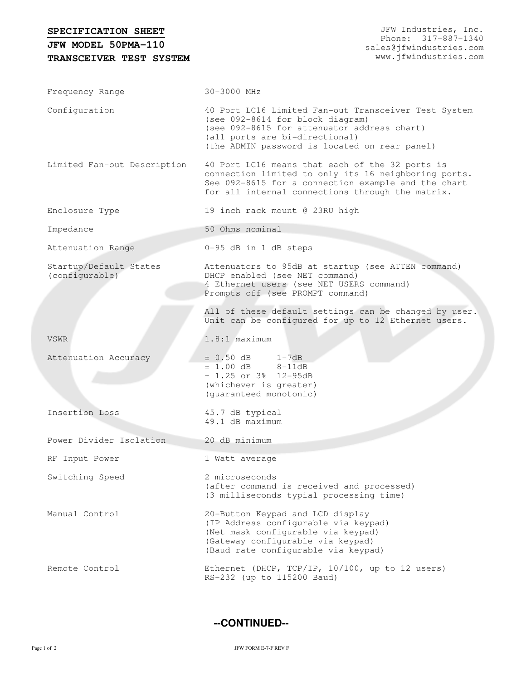| SPECIFICATION SHEET<br>JFW MODEL 50PMA-110 | JFW Industries, Inc.<br>Phone: 317-887-1340<br>sales@jfwindustries.com<br>www.jfwindustries.com                                                                                                                            |  |  |
|--------------------------------------------|----------------------------------------------------------------------------------------------------------------------------------------------------------------------------------------------------------------------------|--|--|
| TRANSCEIVER TEST SYSTEM                    |                                                                                                                                                                                                                            |  |  |
|                                            |                                                                                                                                                                                                                            |  |  |
| Frequency Range                            | 30-3000 MHz                                                                                                                                                                                                                |  |  |
| Configuration                              | 40 Port LC16 Limited Fan-out Transceiver Test System<br>(see 092-8614 for block diagram)<br>(see 092-8615 for attenuator address chart)<br>(all ports are bi-directional)<br>(the ADMIN password is located on rear panel) |  |  |
| Limited Fan-out Description                | 40 Port LC16 means that each of the 32 ports is<br>connection limited to only its 16 neighboring ports.<br>See 092-8615 for a connection example and the chart<br>for all internal connections through the matrix.         |  |  |
| Enclosure Type                             | 19 inch rack mount @ 23RU high                                                                                                                                                                                             |  |  |
| Impedance                                  | 50 Ohms nominal                                                                                                                                                                                                            |  |  |
| Attenuation Range                          | 0-95 dB in 1 dB steps                                                                                                                                                                                                      |  |  |
| Startup/Default States<br>(configurable)   | Attenuators to 95dB at startup (see ATTEN command)<br>DHCP enabled (see NET command)<br>4 Ethernet users (see NET USERS command)<br>Prompts off (see PROMPT command)                                                       |  |  |
|                                            | All of these default settings can be changed by user.<br>Unit can be configured for up to 12 Ethernet users.                                                                                                               |  |  |
| <b>VSWR</b>                                | $1.8:1$ maximum                                                                                                                                                                                                            |  |  |
| Attenuation Accuracy                       | $\pm$ 0.50 dB 1-7dB<br>$± 1.00 dB$ 8-11dB<br>$± 1.25$ or 3% 12-95dB<br>(whichever is greater)<br>(guaranteed monotonic)                                                                                                    |  |  |
| Insertion Loss                             | 45.7 dB typical<br>49.1 dB maximum                                                                                                                                                                                         |  |  |
| Power Divider Isolation                    | 20 dB minimum                                                                                                                                                                                                              |  |  |
| RF Input Power                             | 1 Watt average                                                                                                                                                                                                             |  |  |
| Switching Speed                            | 2 microseconds<br>(after command is received and processed)<br>(3 milliseconds typial processing time)                                                                                                                     |  |  |
| Manual Control                             | 20-Button Keypad and LCD display<br>(IP Address configurable via keypad)<br>(Net mask configurable via keypad)<br>(Gateway configurable via keypad)<br>(Baud rate configurable via keypad)                                 |  |  |
| Remote Control                             | Ethernet (DHCP, TCP/IP, 10/100, up to 12 users)<br>RS-232 (up to 115200 Baud)                                                                                                                                              |  |  |

**--CONTINUED--**